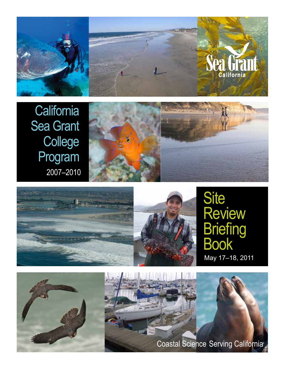

2007–2010 **California Sea Grant College** Program





# **Site** Review **Briefing** Book May 17-18, 2011

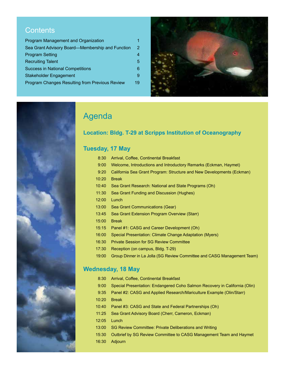## **Contents**

| Program Management and Organization              |                |
|--------------------------------------------------|----------------|
| Sea Grant Advisory Board-Membership and Function | $\overline{2}$ |
| <b>Program Setting</b>                           | 4              |
| <b>Recruiting Talent</b>                         | 5              |
| <b>Success in National Competitions</b>          | 6              |
| Stakeholder Engagement                           | 9              |
| Program Changes Resulting from Previous Review   | 19             |
|                                                  |                |





## Agenda

### Location: Bldg. T-29 at Scripps Institution of Oceanography

### **Tuesday, 17 May**

| 8:30  | Arrival, Coffee, Continental Breakfast                                |
|-------|-----------------------------------------------------------------------|
| 9:00  | Welcome, Introductions and Introductory Remarks (Eckman, Haymet)      |
| 9:20  | California Sea Grant Program: Structure and New Developments (Eckman) |
| 10:20 | <b>Break</b>                                                          |
| 10:40 | Sea Grant Research: National and State Programs (Oh)                  |
|       | 11:30 Sea Grant Funding and Discussion (Hughes)                       |
| 12:00 | Lunch                                                                 |
|       |                                                                       |

- 13:00 Sea Grant Communications (Gear)
- 13:45 Sea Grant Extension Program Overview (Starr)
- 15:00 Break
- 15:15 Panel #1: CASG and Career Development (Oh)
- 16:00 Special Presentation: Climate Change Adaptation (Myers)
- 16:30 Private Session for SG Review Committee
- 17:30 Reception (on campus, Bldg. T-29)
- 19:00 Group Dinner in La Jolla (SG Review Committee and CASG Management Team)

### Wednesday, 18 May

- 8:30 Arrival, Coffee, Continental Breakfast
- 9:00 Special Presentation: Endangered Coho Salmon Recovery in California (Olin)
- 9:35 Panel #2: CASG and Applied Research/Mariculture Example (Olin/Starr)
- 10:20 Break
- 10:40 Panel #3: CASG and State and Federal Partnerships (Oh)
- 11:25 Sea Grant Advisory Board (Cherr, Cameron, Eckman)
- 12:05 Lunch
- 13:00 SG Review Committee: Private Deliberations and Writing
- 15:30 Outbrief by SG Review Committee to CASG Management Team and Haymet
- 16:30 Adjourn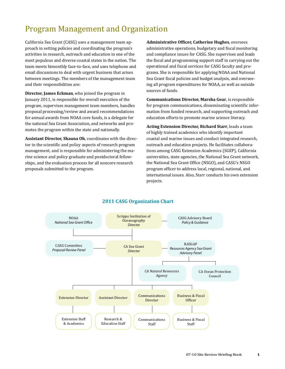## Program Management and Organization

California Sea Grant (CASG) uses a management team approach in setting policies and coordinating the program's activities in research, outreach and education in one of the most populous and diverse coastal states in the nation. The team meets bimonthly face-to-face, and uses telephone and email discussions to deal with urgent business that arises between meetings. The members of the management team and their responsibilities are:

**Director, James Eckman**, who joined the program in January 2011, is responsible for overall execution of the program, supervises management team members, handles proposal processing/review and award recommendations for annual awards from NOAA core funds, is a delegate for the national Sea Grant Association, and networks and promotes the program within the state and nationally.

**Assistant Director, Shauna Oh**, coordinates with the director in the scientific and policy aspects of research program management, and is responsible for administering the marine science and policy graduate and postdoctoral fellowships, and the evaluation process for all noncore research proposals submitted to the program.

**Administrative Officer, Catherine Hughes**, oversees administrative operations, budgetary and fiscal monitoring and compliance issues for CASG. She supervises and leads the fiscal and programming support staff in carrying out the operational and fiscal services for CASG faculty and programs. She is responsible for applying NOAA and National Sea Grant fiscal policies and budget analysis, and overseeing all program expenditures for NOAA, as well as outside sources of funds.

**Communications Director, Marsha Gear**, is responsible for program communications, disseminating scientific information from funded research, and supporting outreach and education efforts to promote marine science literacy.

**Acting Extension Director, Richard Starr**, leads a team of highly trained academics who identify important coastal and marine issues and conduct integrated research, outreach and education projects. He facilitates collaborations among CASG Extension Academics (SGEP), California universities, state agencies, the National Sea Grant network, the National Sea Grant Office (NSGO), and CASG's NSGO program officer to address local, regional, national, and international issues. Also, Starr conducts his own extension projects.



#### **2011 CASG Organization Chart**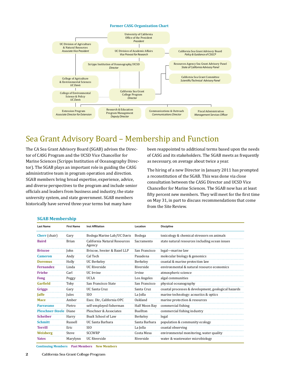#### **Former CASG Organization Chart**



## Sea Grant Advisory Board – Membership and Function

The CA Sea Grant Advisory Board (SGAB) advises the Director of CASG Program and the UCSD Vice Chancellor for Marine Sciences (Scripps Institution of Oceanography Director). The SGAB plays an important role in guiding the CASG administrative team in program operation and direction. SGAB members bring broad expertise, experience, advice, and diverse perspectives to the program and include senior officials and leaders from business and industry, the state university system, and state government. SGAB members historically have served three-year terms but many have

been reappointed to additional terms based upon the needs of CASG and its stakeholders. The SGAB meets as frequently as necessary, on average about twice a year.

The hiring of a new Director in January 2011 has prompted a reconstitution of the SGAB. This was done via close consultation between the CASG Director and UCSD Vice Chancellor for Marine Sciences. The SGAB now has at least fifty percent new members. They will meet for the first time on May 31, in part to discuss recommendations that come from the Site Review.

| <b>Last Name</b>       | <b>First Name</b> | <b>Inst Affiliation</b>                | Location        | <b>Discipline</b>                                   |
|------------------------|-------------------|----------------------------------------|-----------------|-----------------------------------------------------|
| <b>Cherr</b> (chair)   | Gary              | Bodega Marine Lab/UC Davis             | Bodega          | toxicology & chemical stressors on animals          |
| <b>Baird</b>           | <b>Brian</b>      | California Natural Resources<br>Agency | Sacramento      | state natural resources including ocean issues      |
| <b>Briscoe</b>         | Iohn              | Briscoe, Ivester & Bazel LLP           | San Francisco   | legal—marine law                                    |
| Cameron                | Andy              | Cal Tech                               | Pasadena        | molecular biology & genomics                        |
| <b>Doremus</b>         | Holly             | UC Berkeley                            | Berkeley        | coastal & marine protection law                     |
| <b>Fernandez</b>       | Linda             | <b>UC Riverside</b>                    | Riverside       | environmental & natural resource economics          |
| <b>Friehe</b>          | Carl              | <b>UC</b> Irvine                       | Irvine          | atmospheric science                                 |
| Fong                   | Peggy             | <b>UCLA</b>                            | Los Angeles     | algal communities                                   |
| Garfield               | Toby              | San Francisco State                    | San Francisco   | physical oceanography                               |
| Griggs                 | Gary              | <b>UC Santa Cruz</b>                   | Santa Cruz      | coastal processes & development, geological hazards |
| <b>laffe</b>           | Jules             | SI <sub>O</sub>                        | La Jolla        | marine technology: acoustics & optics               |
| <b>Mace</b>            | Amber             | Exec. Dir., California OPC             | Oakland         | marine protection & resources                       |
| <b>Parravano</b>       | Pietro            | self-employed fisherman                | Half Moon Bay   | commercial fishing                                  |
| Pleschner-Steele Diane |                   | Pleschner & Associates                 | <b>Buellton</b> | commercial fishing industry                         |
| <b>Scheiber</b>        | Harry             | Boalt School of Law                    | Berkeley        | legal                                               |
| <b>Schmitt</b>         | Russell           | UC Santa Barbara                       | Santa Barbara   | population & community ecology                      |
| <b>Terrill</b>         | Eric              | SI <sub>0</sub>                        | La Jolla        | coastal observing                                   |
| Weisberg               | Steve             | <b>SCCWRP</b>                          | Costa Mesa      | environmental monitoring, water quality             |
| <b>Yates</b>           | Marylynn          | <b>UC Riverside</b>                    | Riverside       | water & wastewater microbiology                     |

#### **SGAB Membership**

**Continuing Members Past Members New Members**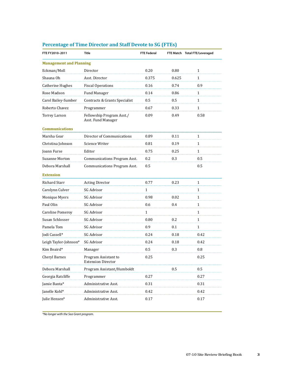| FTE FY2010-2011                | <b>Title</b>                                      | <b>FTE Federal</b> |         | FTE Match Total FTE/Leveraged |
|--------------------------------|---------------------------------------------------|--------------------|---------|-------------------------------|
| <b>Management and Planning</b> |                                                   |                    |         |                               |
| Eckman/Moll                    | Director                                          | 0.20               | 0.80    | 1                             |
| Shauna Oh                      | Asst. Director                                    | 0.375              | 0.625   | $\mathbf{1}$                  |
| <b>Catherine Hughes</b>        | <b>Fiscal Operations</b>                          | 0.16               | 0.74    | 0.9                           |
| Rose Madson                    | <b>Fund Manager</b>                               | 0.14               | 0.86    | $\mathbf{1}$                  |
| Carol Bailey-Sumber            | Contracts & Grants Specialist                     | 0.5                | 0.5     | $\mathbf{1}$                  |
| Roberto Chavez                 | Programmer                                        | 0.67               | 0.33    | 1                             |
| Torrey Larson                  | Fellowship Program Asst./<br>Asst. Fund Manager   | 0.09               | 0.49    | 0.58                          |
| <b>Communications</b>          |                                                   |                    |         |                               |
| Marsha Gear                    | Director of Communications                        | 0.89               | 0.11    | $\mathbf{1}$                  |
| Christina Johnson              | Science Writer                                    | 0.81               | 0.19    | $\mathbf{1}$                  |
| <b>Joann Furse</b>             | Editor                                            | 0.75               | 0.25    | $\mathbf{1}$                  |
| <b>Suzanne Morton</b>          | <b>Communications Program Asst.</b>               | 0.2                | 0.3     | $0.5\,$                       |
| Debora Marshall                | <b>Communications Program Asst.</b>               | 0.5                |         | 0.5                           |
| <b>Extension</b>               |                                                   |                    |         |                               |
| Richard Starr                  | <b>Acting Director</b>                            | 0.77               | 0.23    | $\mathbf{1}$                  |
| Carolynn Culver                | SG Advisor                                        | $\mathbf{1}$       |         | $\mathbf{1}$                  |
| Monique Myers                  | <b>SG Advisor</b>                                 | 0.98               | 0.02    | 1                             |
| Paul Olin                      | <b>SG Advisor</b>                                 | 0.6                | $0.4\,$ | $\mathbf{1}$                  |
| Caroline Pomeroy               | SG Advisor                                        | $\mathbf{1}$       |         | $\mathbf{1}$                  |
| Susan Schlosser                | <b>SG Advisor</b>                                 | 0.80               | 0.2     | 1                             |
| Pamela Tom                     | <b>SG Advisor</b>                                 | 0.9                | 0.1     | $\mathbf{1}$                  |
| Jodi Cassell*                  | SG Advisor                                        | 0.24               | 0.18    | 0.42                          |
| Leigh Taylor-Johnson*          | SG Advisor                                        | 0.24               | 0.18    | 0.42                          |
| Kim Beaird*                    | Manager                                           | 0.5                | 0.3     | 0.8                           |
| Cheryl Barnes                  | Program Assistant to<br><b>Extension Director</b> | 0.25               |         | 0.25                          |
| Debora Marshall                | Program Assistant/Humboldt                        |                    | 0.5     | $0.5\,$                       |
| Georgia Ratcliffe              | Programmer                                        | 0.27               |         | 0.27                          |
| Jamie Banta*                   | Administrative Asst.                              | 0.31               |         | 0.31                          |
| Janelle Kohl*                  | Administrative Asst.                              | 0.42               |         | 0.42                          |
| Julie Hensen*                  | Administrative Asst.                              | 0.17               |         | 0.17                          |

### **Percentage of Time Director and Staff Devote to SG (FTEs)**

*\*No longer with the Sea Grant program.*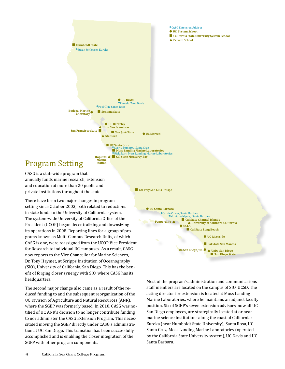

**n** Cal Poly San Luis Obispo

CASG is a statewide program that annually funds marine research, extension and education at more than 20 public and private institutions throughout the state.

There have been two major changes in program setting since October 2003, both related to reductions in state funds to the University of California system. The system-wide University of California Office of the President (UCOP) began decentralizing and downsizing its operations in 2008. Reporting lines for a group of programs known as Multi-Campus Research Units, of which CASG is one, were reassigned from the UCOP Vice President for Research to individual UC campuses. As a result, CASG now reports to the Vice Chancellor for Marine Sciences, Dr. Tony Haymet, at Scripps Institution of Oceanography (SIO), University of California, San Diego. This has the benefit of forging closer synergy with SIO, where CASG has its headquarters.

The second major change also came as a result of the reduced funding to and the subsequent reorganization of the UC Division of Agriculture and Natural Resources (ANR), where the SGEP was formerly based. In 2010, CASG was notified of UC ANR's decision to no longer contribute funding to nor administer the CASG Extension Program. This necessitated moving the SGEP directly under CASG's administration at UC San Diego. This transition has been successfully accomplished and is enabling the closer integration of the SGEP with other program components.

**UC San Diego/SIO● △ Univ. San Diego n** San Diego State **Pepperdine A A University of Southern California** l **UC Santa Barbara**  $\bullet$  **UC Riverside**  $\bullet$  **UCLA n** Cal State Long Beach **n** Cal State San Marcos **\***Carrie Culver, Santa Barbara <sup>n</sup>**Cal State Channel Islands \***Monique Myers, Santa Barbara

Most of the program's administration and communications staff members are located on the campus of SIO, UCSD. The acting director for extension is located at Moss Landing Marine Laboratories, where he maintains an adjunct faculty position. Six of SGEP's seven extension advisors, now all UC San Diego employees, are strategically located at or near marine science institutions along the coast of California: Eureka (near Humboldt State University), Santa Rosa, UC Santa Cruz, Moss Landing Marine Laboratories (operated by the California State University system), UC Davis and UC Santa Barbara.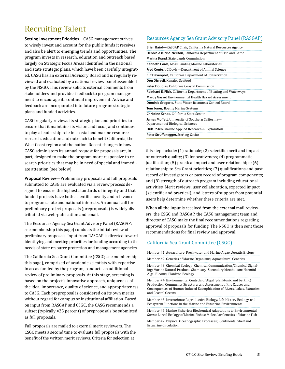## Recruiting Talent

**Setting Investment Priorities**—CASG management strives to wisely invest and account for the public funds it receives and also be alert to emerging trends and opportunities. The program invests in research, education and outreach based largely on Strategic Focus Areas identified in the national and state strategic plans, which have been carefully integrated. CASG has an external Advisory Board and is regularly reviewed and evaluated by a national review panel assembled by the NSGO. This review solicits external comments from stakeholders and provides feedback to program management to encourage its continual improvement. Advice and feedback are incorporated into future program strategic plans and funded activities.

CASG regularly reviews its strategic plan and priorities to ensure that it maintains its vision and focus, and continues to play a leadership role in coastal and marine resource research, education and outreach to benefit California, the West Coast region and the nation. Recent changes in how CASG administers its annual request for proposals are, in part, designed to make the program more responsive to research priorities that may be in need of special and immediate attention (see below).

**Proposal Review**—Preliminary proposals and full proposals submitted to CASG are evaluated via a review process designed to ensure the highest standards of integrity and that funded projects have both scientific novelty and relevance to program, state and national interests. An annual call for preliminary project proposals (preproposals) is widely distributed via web-publication and email.

The Resources Agency Sea Grant Advisory Panel (RASGAP; see membership this page) conducts the initial review of preliminary proposals. Input from RASGAP is directed toward identifying and meeting priorities for funding according to the needs of state resource protection and management agencies.

The California Sea Grant Committee (CSGC; see membership this page), comprised of academic scientists with expertise in areas funded by the program, conducts an additional review of preliminary proposals. At this stage, screening is based on the project's innovative approach, uniqueness of the idea, importance, quality of science, and appropriateness to CASG. Each preproposal is considered on its own merits without regard for campus or institutional affiliation. Based on input from RASGAP and CSGC, the CASG recommends a subset (typically ≈25 percent) of preproposals be submitted as full proposals.

Full proposals are mailed to external merit reviewers. The CSGC meets a second time to evaluate full proposals with the benefit of the written merit reviews. Criteria for selection at

#### Resources Agency Sea Grant Advisory Panel (RASGAP)

| Brian Baird-RASGAP Chair, California Natural Resources Agency                                 |
|-----------------------------------------------------------------------------------------------|
| <b>Debbie Aseltine-Neilson, California Department of Fish and Game</b>                        |
| <b>Marina Brand, State Lands Commission</b>                                                   |
| <b>Kenneth Coale, Moss Landing Marine Laboratories</b>                                        |
| <b>Fred Conte, UC Davis-Department of Animal Science</b>                                      |
| Clif Davenport, California Department of Conservation                                         |
| <b>Don Disraeli,</b> Kanaloa Seafood                                                          |
| Peter Douglas, California Coastal Commission                                                  |
| <b>Reinhard E. Flick,</b> California Department of Boating and Waterways                      |
| <b>Margy Gassel, Environmental Health Hazard Assessment</b>                                   |
| <b>Dominic Gregorio, State Water Resources Control Board</b>                                  |
| <b>Tom Jones, Boeing Marine Systems</b>                                                       |
| <b>Christine Kehoe, California State Senate</b>                                               |
| <b>James Moffett, University of Southern California—</b><br>Department of Biological Sciences |
| <b>Dirk Rosen, Marine Applied Research &amp; Exploration</b>                                  |
| Peter Struffenegger, Sterling Caviar                                                          |

this step include: (1) rationale; (2) scientific merit and impact or outreach quality; (3) innovativeness; (4) programmatic justification; (5) practical impact and user relationships; (6) relationship to Sea Grant priorities; (7) qualifications and past record of investigators or past record of program components; and (8) strength of outreach program including educational activities. Merit reviews, user collaboration, expected impact (scientific and practical), and letters of support from potential users help determine whether these criteria are met.

When all the input is received from the external mail reviewers, the CSGC and RASGAP, the CASG management team and director of CASG make the final recommendations regarding approval of proposals for funding. The NSGO is then sent those recommendations for final review and approval.

#### California Sea Grant Committee (CSGC)

Member #1: Aquaculture, Freshwater and Marine Algae, Aquatic Biology

Member #2: Genetics of Marine Organisms, Aquacultural Genetics

Member #3: Chemical Ecology; Chemical Communication/Chemical Signaling; Marine Natural Products Chemistry; Secondary Metabolism; Harmful Algal Blooms; Plankton Ecology

Member #4: Environmental Controls of Algal (planktonic and benthic) Production, Community Structure, and Assessment of the Causes and Consequences of Human-Induced Eutrophication of Rivers, Lakes, Estuaries and Coastal Oceans

Member #5: Invertebrate Reproductive Biology, Life-History Ecology, and Ecosystem Functions in the Marine and Estuarine Environments

Member #6: Marine Fisheries; Biochemical Adaptations to Environmental Stress; Larval Ecology of Marine Fishes; Molecular Genetics of Marine Fish

Member #7: Physical Oceanographic Processes; Continental Shelf and Estuarine Circulation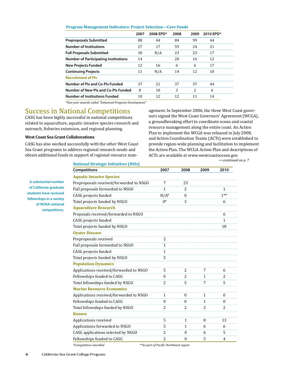#### **Program Management Indicators: Project Selection—Core Funds**

| 2009<br>99    | 2010 EPD*<br>44 |  |
|---------------|-----------------|--|
|               |                 |  |
|               |                 |  |
|               | 21              |  |
| 23            | 17              |  |
| 16            | 12              |  |
| 6             | 17              |  |
| 12            | 10              |  |
|               |                 |  |
| 37            | 44              |  |
| $\mathcal{P}$ | 6               |  |
| 11            | 14              |  |
|               | 24              |  |

*\*One-year awards called "Enhanced Program Development"*

**National Strategic Initiatives (NSIs)**

### Success in National Competitions

CASG has been highly successful in national competitions related to aquaculture, aquatic invasive species research and outreach, fisheries extension, and regional planning.

#### **West Coast Sea Grant Collaborations**

CASG has also worked successfully with the other West Coast Sea Grant programs to address regional research needs and obtain additional funds in support of regional resource management. In September 2006, the three West Coast governors signed the West Coast Governors' Agreement (WCGA), a groundbreaking effort to coordinate ocean and coastal resource management along the entire coast. An Action Plan to implement the WCGA was released in July 2008, and Action Coordination Teams (ACTs) were established to provide region-wide planning and facilitation to implement the Action Plan. The WCGA Action Plan and descriptions of ACTs are available at www.westcoastoceans.gov.

—*continued on p. 7*

|                                              | National Strategic Initiatives (NSIS)   |              |              |      |          |  |
|----------------------------------------------|-----------------------------------------|--------------|--------------|------|----------|--|
|                                              | <b>Competitions</b>                     | 2007         | 2008         | 2009 | 2010     |  |
|                                              | <b>Aquatic Invasive Species</b>         |              |              |      |          |  |
| A substantial number                         | Preproposals received/forwarded to NSGO | 7            | 23           |      |          |  |
| of California graduate                       | Full proposals forwarded to NSGO        | $\mathbf{1}$ | 2            |      | 1        |  |
| students have received                       | CASG projects funded                    | $N/A^*$      | $\Omega$     |      | $1**$    |  |
| fellowships in a variety<br>of NOAA national | Total projects funded by NSGO           | $0^*$        | 3            |      | 6        |  |
| competitions.                                | <b>Aquaculture Research</b>             |              |              |      |          |  |
|                                              | Proposals received/forwarded to NSGO    |              |              |      | 6        |  |
|                                              | CASG projects funded                    |              |              |      | 1        |  |
|                                              | Total projects funded by NSGO           |              |              |      | 18       |  |
|                                              | <b>Oyster Disease</b>                   |              |              |      |          |  |
|                                              | Preproposals received                   | 2            |              |      |          |  |
|                                              | Full proposals forwarded to NSGO        | $\mathbf{1}$ |              |      |          |  |
|                                              | CASG projects funded                    | 1            |              |      |          |  |
|                                              | Total projects funded by NSGO           | 5            |              |      |          |  |
|                                              | <b>Population Dynamics</b>              |              |              |      |          |  |
|                                              | Applications received/forwarded to NSGO | 5            | 2            | 7    | 6        |  |
|                                              | Fellowships funded to CASG              | $\Omega$     | 2            | 1    | 2        |  |
|                                              | Total fellowships funded by NSGO        | 2            | 5.           | 7    | 5        |  |
|                                              | <b>Marine Resource Economics</b>        |              |              |      |          |  |
|                                              | Applications received/forwarded to NSGO | 1            | $\Omega$     | 1    | 0        |  |
|                                              | Fellowships funded to CASG              | $\Omega$     | $\Omega$     | 1    | $\theta$ |  |
|                                              | Total fellowships funded by NSGO        | 2            | 2            | 2    | 2        |  |
|                                              | <b>Knauss</b>                           |              |              |      |          |  |
|                                              | Applications received                   | 5            | 1            | 8    | 13       |  |
|                                              | Applications forwarded to NSGO          | 5            | $\mathbf{1}$ | 6    | 6        |  |
|                                              | CASG applications selected by NSGO      | 2            | $\Omega$     | 6    | 5        |  |
|                                              | Fellowships funded to CASG              | 2            | $\Omega$     | 5.   | 4        |  |
|                                              |                                         |              |              |      |          |  |

*\*Competition cancelled \*\*As part of Pacific Northwest region*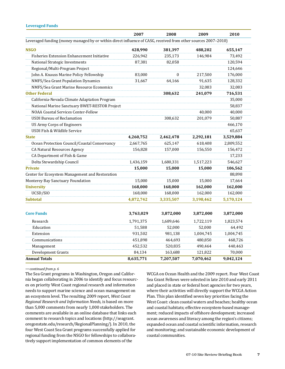#### **Leveraged Funds**

|                                                                                                                | 2007      | 2008         | 2009      | 2010      |
|----------------------------------------------------------------------------------------------------------------|-----------|--------------|-----------|-----------|
| Leveraged funding (money managed by or within direct influence of CASG, received from other sources 2007-2010) |           |              |           |           |
| <b>NSGO</b>                                                                                                    | 428,990   | 381,397      | 488,202   | 655,147   |
| <b>Fisheries Extension Enhancement Initiative</b>                                                              | 226,942   | 235,173      | 146,984   | 73,492    |
| National Strategic Investments                                                                                 | 87,381    | 82,058       |           | 120,594   |
| Regional/Multi-Program Project                                                                                 |           |              |           | 124,646   |
| John A. Knauss Marine Policy Fellowship                                                                        | 83,000    | $\mathbf{0}$ | 217,500   | 176,000   |
| NMFS/Sea Grant Population Dynamics                                                                             | 31,667    | 64,166       | 91,635    | 128,332   |
| NMFS/Sea Grant Marine Resource Economics                                                                       |           |              | 32,083    | 32,083    |
| <b>Other Federal</b>                                                                                           |           | 308,632      | 241,079   | 716,531   |
| California-Nevada Climate Adaptation Program                                                                   |           |              |           | 35,000    |
| National Marine Sanctuary BWET-RESTOR Project                                                                  |           |              |           | 58,837    |
| NOAA Coastal Services Center-Fellow                                                                            |           |              | 40,000    | 40,000    |
| <b>USDI Bureau of Reclamation</b>                                                                              |           | 308,632      | 201,079   | 50,887    |
| <b>US Army Corps of Engineers</b>                                                                              |           |              |           | 466,170   |
| USDI Fish & Wildlife Service                                                                                   |           |              |           | 65,637    |
| <b>State</b>                                                                                                   | 4,260,752 | 2,462,478    | 2,292,181 | 3,529,884 |
| Ocean Protection Council/Coastal Conservancy                                                                   | 2,667,765 | 625,147      | 618,408   | 2,809,552 |
| <b>CA Natural Resources Agency</b>                                                                             | 156,828   | 157,000      | 156,550   | 156,472   |
| CA Department of Fish & Game                                                                                   |           |              |           | 17,233    |
| Delta Stewardship Council                                                                                      | 1,436,159 | 1,680,331    | 1,517,223 | 546,627   |
| <b>Private</b>                                                                                                 | 15,000    | 15,000       | 15,000    | 106,562   |
| Center for Ecosystem Management and Restoration                                                                |           |              |           | 88,898    |
| Monterey Bay Sanctuary Foundation                                                                              | 15,000    | 15,000       | 15,000    | 17,664    |
| <b>University</b>                                                                                              | 168,000   | 168,000      | 162,000   | 162,000   |
| UCSD/SIO                                                                                                       | 168,000   | 168,000      | 162,000   | 162,000   |
| <b>Subtotal</b>                                                                                                | 4,872,742 | 3,335,507    | 3,198,462 | 5,170,124 |
| <b>Core Funds</b>                                                                                              | 3,763,029 | 3,872,000    | 3,872,000 | 3,872,000 |
| Research                                                                                                       | 1,791,375 | 1,689,646    | 1,722,119 | 1,823,574 |
| Education                                                                                                      | 51,588    | 52,000       | 52,000    | 64,492    |
| Extension                                                                                                      | 931,502   | 981,138      | 1,004,745 | 1,004,745 |
| Communications                                                                                                 | 451,898   | 464,693      | 480,850   | 468,726   |
| Management                                                                                                     | 452,532   | 520,835      | 490,464   | 440,463   |
| Development Grants                                                                                             | 84,134    | 163,688      | 121,822   | 70,000    |
| <b>Annual Totals</b>                                                                                           | 8,635,771 | 7,207,507    | 7,070,462 | 9,042,124 |

—*continued from p. 6*

The Sea Grant programs in Washington, Oregon and California began collaborating in 2006 to identify and focus resources on priority West Coast regional research and information needs to support marine science and ocean management on an ecosystem level. The resulting 2009 report, *West Coast Regional Research and Information Needs,* is based on more than 5,000 comments from nearly 1,000 stakeholders. The comments are available in an online database that links each comment to research topics and locations (http://seagrant. oregonstate.edu/research/RegionalPlanning/). In 2010, the four West Coast Sea Grant programs successfully applied for regional funding from the NSGO for fellowships to collaboratively support implementation of common elements of the

WCGA on Ocean Health and the 2009 report. Four West Coast Sea Grant Fellows were selected in late 2010 and early 2011 and placed in state or federal host agencies for two years, where their activities will directly support the WCGA Action Plan. This plan identified seven key priorities facing the West Coast: clean coastal waters and beaches; healthy ocean and coastal habitats; effective ecosystem-based management; reduced impacts of offshore development; increased ocean awareness and literacy among the region's citizens; expanded ocean and coastal scientific information, research and monitoring; and sustainable economic development of coastal communities.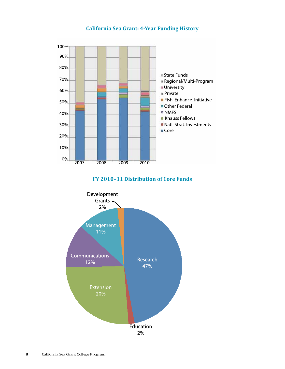### **California Sea Grant: 4-Year Funding History**





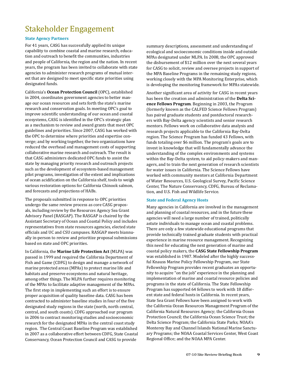## Stakeholder Engagement

#### **State Agency Partners**

For 41 years, CASG has successfully applied its unique capability to combine coastal and marine research, education and outreach to benefit the communities, industries and people of California, the region and the nation. In recent years, the program has been invited to collaborate with state agencies to administer research programs of mutual interest that are designed to meet specific state priorities using designated funds.

California's **Ocean Protection Council** (OPC), established in 2004, coordinates government agencies to better manage our ocean resources and sets forth the state's marine research and conservation goals. In meeting OPC's goal to improve scientific understanding of our ocean and coastal ecosystems, CASG is identified in the OPC's strategic plan as a mechanism to review and award grants that meet OPC guidelines and priorities. Since 2007, CASG has worked with the OPC to determine where priorities and expertise converge; and by working together, the two organizations have reduced the overhead and management costs of supporting collaborative marine research and outreach. The result is that CASG administers dedicated OPC funds to assist the state by managing priority research and outreach projects such as the development of ecosystem-based management pilot programs, investigation of the extent and implications of ocean acidification on the California shelf, tools to weigh various restoration options for California Chinook salmon, and forecasts and projections of HABs.

The proposals submitted in response to OPC priorities undergo the same review process as core CASG proposals, including review by the Resources Agency Sea Grant Advisory Panel (RASGAP). The RASGAP is chaired by the Assistant Secretary of Ocean and Coastal Policy and includes representatives from state resources agencies, elected state officials and UC and CSU campuses. RASGAP meets biannually in-person to review and prioritize proposal submissions based on state and OPC priorities.

In California, the **Marine Life Protection Act** (MLPA) was passed in 1999 and required the California Department of Fish and Game (CDFG) to design and manage a network of marine protected areas (MPAs) to protect marine life and habitats and preserve ecosystems and natural heritage, among other things. The MLPA further requires monitoring of the MPAs to facilitate adaptive management of the MPAs. The first step in implementing such an effort is to ensure proper acquisition of quality baseline data. CASG has been contracted to administer baseline studies in four of the five designated study regions in the state (north, north central, central, and south coasts). CDFG approached our program in 2006 to contract monitoring studies and socioeconomic research for the designated MPAs in the central coast study region. The Central Coast Baseline Program was established in 2007 as a collaborative effort between CDFG, State Coastal Conservancy, Ocean Protection Council and CASG to provide

summary descriptions, assessment and understanding of ecological and socioeconomic conditions inside and outside MPAs designated under MLPA. In 2008, the OPC approved the disbursement of \$12 million over the next several years for CASG to solicit, review and oversee projects in support of the MPA Baseline Programs in the remaining study regions, working closely with the MPA Monitoring Enterprise, which is developing the monitoring framework for MPAs statewide.

Another significant area of activity for CASG in recent years has been the creation and administration of the **Delta Science Fellows Program**. Beginning in 2003, the Program (formerly known as the CALFED Science Fellows Program) has paired graduate students and postdoctoral researchers with Bay-Delta agency scientists and senior research mentors. Fellows work on collaborative data analysis and research projects applicable to the California Bay-Delta region. The Science Program has funded 43 Fellows, with funds totaling over \$6 million. The program's goals are to invest in knowledge that will fundamentally advance the understanding of the complex environments and systems within the Bay-Delta system, to aid policy-makers and managers, and to train the next generation of research scientists for water issues in California. The Science Fellows have worked with community mentors at California Department of Water Resources, U.S. Geological Survey, Pacific Science Center, The Nature Conservancy, CDFG, Bureau of Reclamation, and U.S. Fish and Wildlife Service.

#### **State and Federal Agency Hosts**

Many agencies in California are involved in the management and planning of coastal resources, and in the future these agencies will need a large number of trained, politically astute individuals to manage ocean and coastal problems. There are only a few statewide educational programs that provide technically trained graduate students with practical experience in marine resource management. Recognizing this need for educating the next generation of marine and coastal policy makers, the **CASG State Fellowship Program** was established in 1987. Modeled after the highly successful Knauss Marine Policy Fellowship Program, our State Fellowship Program provides recent graduates an opportunity to acquire "on the job" experience in the planning and implementation of marine and coastal resource policies and programs in the state of California. The State Fellowship Program has supported 64 fellows to work with 18 different state and federal hosts in California. In recent years, State Sea Grant Fellows have been assigned to work with the California Ocean Resources Management Program of the California Natural Resources Agency; the California Ocean Protection Council; the California Ocean Science Trust; the Delta Science Program; the California State Parks; NOAA's Monterey Bay and Channel Islands National Marine Sanctuary Programs; the NOAA Coastal Services Center, West Coast Regional Office; and the NOAA MPA Center.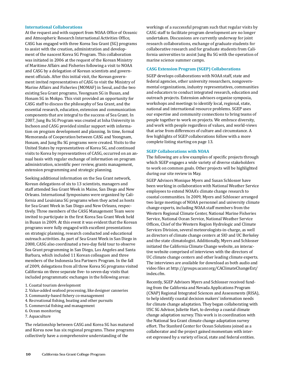#### **International Collaborations**

At the request and with support from NOAA Office of Oceanic and Atmospheric Research International Activities Office, CASG has engaged with three Korea Sea Grant (SG) programs to assist with the creation, administration and development of the nascent Korea SG Program. This collaboration was initiated in 2006 at the request of the Korean Ministry of Maritime Affairs and Fisheries following a visit to NOAA and CASG by a delegation of Korean scientists and government officials. After this initial visit, the Korean government invited representatives of CASG to visit the Ministry of Marine Affairs and Fisheries (MOMAF) in Seoul, and the two existing Sea Grant programs, Yeongnam SG in Busan, and Honam SG in Mokpo. This visit provided an opportunity for CASG staff to discuss the philosophy of Sea Grant, and the essential research, education, extension and communication components that are integral to the success of Sea Grant. In 2007, Jung Bu SG Program was created at Inha University in Incheon and CASG provided similar support with information on program development and planning. In time, formal Memoranda of Cooperation between CASG and Yeongnam, Honam, and Jung Bu SG programs were created. Visits to the United States by representatives of Korea SG, and continued visits to Korea by representatives of CASG, occurred on an annual basis with regular exchange of information on program administration, scientific peer review, grants management, extension programming and strategic planning.

Seeking additional information on the Sea Grant network, Korean delegations of six to 13 scientists, managers and staff attended Sea Grant Week in Maine, San Diego and New Orleans. International Symposiums were organized by California and Louisiana SG programs when they acted as hosts for Sea Grant Week in San Diego and New Orleans, respectively. Three members of the CASG Management Team were invited to participate in the first Korea Sea Grant Week held in Busan in 2009. At this event it was evident that the Korean programs were fully engaged with excellent presentations on strategic planning, research conducted and educational outreach activities. As part of Sea Grant Week in San Diego in 2008, CASG also coordinated a two-day field tour to observe Sea Grant programming in San Diego, Los Angeles and Santa Barbara, which included 11 Korean colleagues and three members of the Indonesia Sea Partners Program. In the fall of 2009, delegations from all three Korea SG programs visited California on three separate five- to seven-day visits that included programmatic exchanges in the following areas:

- 1. Coastal tourism development
- 2. Value-added seafood processing, like designer canneries
- 3. Community-based fishery co-management
- 4. Recreational fishing, boating and other pursuits
- 5. Commercial fishing and management
- 6. Ocean monitoring
- 7. Aquaculture

The relationship between CASG and Korea SG has matured and Korea now has six regional programs. These programs collectively have a comprehensive understanding of the

workings of a successful program such that regular visits by CASG staff to facilitate program development are no longer undertaken. Discussions are currently underway for joint research collaborations, exchange of graduate students for collaborative research and for graduate students from California universities to assist Jung Bu SG with the operation of marine science summer camps.

#### **CASG Extension Program (SGEP) Collaborations**

SGEP develops collaborations with NOAA staff, state and federal agencies, other university researchers, nongovernmental organizations, industry representatives, communities and educators to conduct integrated research, education and outreach projects. Extension advisors organize symposia, workshops and meetings to identify local, regional, state, national and international resource problems. SGEP uses our expertise and community connections to bring teams of people together to work on projects. We embrace diversity, and work with people regardless of values, and world-views that arise from differences of culture and circumstance. A few highlights of SGEP collaborations follow with a more complete listing starting on page 13.

#### **SGEP Collaborations with NOAA**

The following are a few examples of specific projects through which SGEP engages a wide variety of diverse stakeholders to work on common goals. Other projects will be highlighted during our site review in May.

SGEP Advisors Monique Myers and Susan Schlosser have been working in collaboration with National Weather Service employees to extend NOAA's climate change research to coastal communities. In 2009, Myers and Schlosser arranged two large meetings of NOAA personnel and university climate change experts, including NOAA staff members from the Western Regional Climate Center, National Marine Fisheries Service, National Ocean Service, National Weather Service Offices, Chief of the Western Region Hydrologic and Climate Services Division, several meteorologists-in-charge, as well as directors of climate change centers at SIO and UC Berkeley and the state climatologist. Additionally, Myers and Schlosser initiated the California Climate Change website, an interactive website comprised of interviews with the directors of UC climate change centers and other leading climate experts. The interviews are available for download as both audio and video files at http://groups.ucanr.org/CAClimateChangeExt/ index.cfm.

Recently, SGEP Advisors Myers and Schlosser received funding from the California and Nevada Applications Program (CNAP) Regional Integrated Sciences and Assessments (RISA), to help identify coastal decision makers' information needs for climate change adaptation. They began collaborating with USC SG Advisor, Juliette Hart, to develop a coastal climate change adaptation survey. This work is in coordination with the National Sea Grant climate change adaptation survey effort. The Stanford Center for Ocean Solutions joined as a collaborator and the project gained momentum with interest expressed by a variety of local, state and federal entities.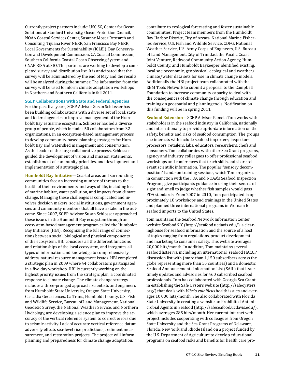Currently project partners include: USC SG, Center for Ocean Solutions at Stanford University, Ocean Protection Council, NOAA Coastal Services Center, Susanne Moser Research and Consulting, Tijuana River NERR, San Francisco Bay NERR, Local Governments for Sustainability (ICLEI), Bay Conservation and Development Commission, CA Coastal Commission, Southern California Coastal Ocean Observing System and CNAP RISA at SIO. The partners are working to develop a completed survey and distribution list. It is anticipated that the survey will be administered by the end of May and the results will be analyzed during the summer. The information from the survey will be used to inform climate adaptation workshops in Northern and Southern California in fall 2011.

#### **SGEP Collaborations with State and Federal Agencies**

For the past five years, SGEP Advisor Susan Schlosser has been building collaborations with a diverse set of local, state and federal agencies to improve management of the Humboldt Bay estuarine ecosystem. Schlosser has led a diverse group of people, which includes 50 collaborators from 32 organizations, in an ecosystem-based management process to develop community-based planning strategies for Humboldt Bay and watershed management and conservation. As the leader of the large collaborative process, Schlosser guided the development of vision and mission statements, establishment of community priorities, and development and implementation of a strategic plan.

**Humboldt Bay Initiative**—Coastal areas and surrounding communities face an increasing number of threats to the health of their environments and ways of life, including loss of marine habitat, water pollution, and impacts from climate change. Managing these challenges is complicated and involves decision makers, social institutions, government agencies and community members that all have a stake in the outcome. Since 2007, SGEP Advisor Susan Schlosser approached these issues in the Humboldt Bay ecosystem through an ecosystem-based management program called the Humboldt Bay Initiative (HBI). Recognizing the full range of connections between social, biological and physical components of the ecosystem, HBI considers all the different functions and relationships of the local ecosystem, and integrates all types of information and knowledge to comprehensively address natural resource management issues. HBI completed a strategic plan in 2009 where 44 collaborators participated in a five-day workshop. HBI is currently working on the highest priority issues from the strategic plan, a coordinated response to climate change. The climate change strategy includes a three-pronged approach. Scientists and engineers from Humboldt State University, Oregon State University, Cascadia Geosciences, CalTrans, Humboldt County, U.S. Fish and Wildlife Service, Bureau of Land Management, National Geodetic Survey, the National Weather Service, and Northern Hydrology, are developing a science plan to improve the accuracy of the vertical reference system to correct errors due to seismic activity. Lack of accurate vertical reference datum adversely effects sea-level rise predictions, sediment measurement, and restoration projects. The project will inform planning and preparedness for climate change adaptation,

contribute to ecological forecasting and foster sustainable communities. Project team members from the Humboldt Bay Harbor District, City of Arcata, National Marine Fisheries Service, U.S. Fish and Wildlife Service, CDFG, National Weather Service, U.S. Army Corps of Engineers, U.S. Bureau of Land Management, City of Trinidad, the Pacific Coast Joint Venture, Redwood Community Action Agency, Humboldt County, and Humboldt Baykeeper identified existing, local socioeconomic, geophysical, ecological and weather/ climate/water data sets for use in climate change models. Additionally the HBI project team collaborated with the EBM Tools Network to submit a proposal to the Campbell Foundation to increase community capacity to deal with the consequences of climate change through education and training on geospatial and planning tools. Notification on this funding will be in spring 2011.

**Seafood Extension**—SGEP Advisor Pamela Tom works with stakeholders in the seafood industry in California, nationally and internationally to provide up-to-date information on the safety, benefits and risks of seafood consumption. The groups she interacts with include seafood importers, inspectors, processors, retailers, labs, educators, researchers, chefs and consumers. Tom collaborates with other Sea Grant programs, agency and industry colleagues to offer professional seafood workshops and conferences that teach skills and share relevant scientific information. The popular "sensory decomposition" hands-on training sessions, which Tom organizes in conjunction with the FDA and NOAA's Seafood Inspection Program, give participants guidance in using their senses of sight and smell to judge whether fish samples would pass FDA standards. From 2007 to 2010, Tom participated in approximately 18 workshops and trainings in the United States and planned three international programs in Vietnam for seafood imports to the United States.

Tom maintains the Seafood Network Information Center website SeafoodNIC (http://seafood.ucdavis.edu/), a clearinghouse for seafood information and the source of a host of topics ranging from regulations, product development and marketing to consumer safety. This website averages 20,000 hits/month. In addition, Tom maintains several seafood listservs, including an international seafood HACCP discussion list with (more than 1,150 subscribers across the globe representing more than 55 countries) and a domestic Seafood Announcements Information List (SAIL) that issues timely updates and advisories for 460 subscribed seafood professionals. Tom has collaborated with Georgia Sea Grant in establishing the Safe Oysters website (http://safeoysters. org/) that deals with *Vibrio vulnificus* health issues and averages 10,000 hits/month. She also collaborated with Florida State University in creating a website on Prohibited Antimicrobial Agents in Seafood (http://safeseafood.ucdavis.edu/), which averages 285 hits/month. Her current internet web project includes cooperating with colleagues from Oregon State University and the Sea Grant Programs of Delaware, Florida, New York and Rhode Island on a project funded by the U.S. Department of Agriculture to develop educational programs on seafood risks and benefits for health care pro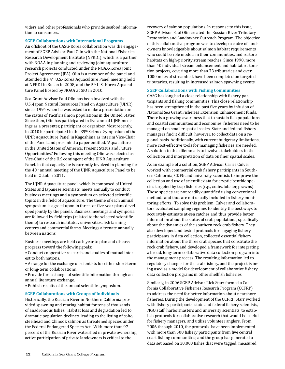viders and other professionals who provide seafood information to consumers.

#### **SGEP Collaborations with International Programs**

An offshoot of the CASG-Korea collaboration was the engagement of SGEP Advisor Paul Olin with the National Fisheries Research Development Institute (NFRDI), which is a partner with NOAA in planning and reviewing joint aquaculture research projects conducted under the NOAA-Korea Joint Project Agreement (JPA). Olin is a member of the panel and attended the 4<sup>th</sup> U.S.-Korea Aquaculture Panel meeting held at NFRDI in Busan in 2008, and the 5<sup>th</sup> U.S.-Korea Aquaculture Panel hosted by NOAA at SIO in 2010.

Sea Grant Advisor Paul Olin has been involved with the U.S.-Japan Natural Resources Panel on Aquaculture (UJNR) since 1994 when he was asked to make a presentation on the status of Pacific salmon populations in the United States. Since then, Olin has participated in five annual UJNR meetings as a presenter, participant or organizer. Most recently, in 2010 he participated in the 39<sup>th</sup> Science Symposium of the UJNR Aquaculture Panel in Kagoshima as interim Vice-Chair of the Panel, and presented a paper entitled, "Aquaculture in the United States of America: Present Status and Future Opportunities." Following this meeting Olin was selected as Vice-Chair of the U.S contingent of the UJNR Aquaculture Panel. In that capacity he is currently involved in planning for the 40<sup>th</sup> annual meeting of the UJNR Aquaculture Panel to be held in October 2011.

The UJNR Aquaculture panel, which is composed of United States and Japanese scientists, meets annually to conduct business meetings and a symposium on selected scientific topics in the field of aquaculture. The theme of each annual symposium is agreed upon in three- or five-year plans developed jointly by the panels. Business meetings and symposia are followed by field trips (related to the selected scientific theme) to research institutes, universities, fish farming centers and commercial farms. Meetings alternate annually between nations.

Business meetings are held each year to plan and discuss progress toward the following goals:

• Conduct cooperative research and studies of mutual interest to both nations.

• Arrange for the exchange of scientists for either short-term or long-term collaborations.

• Provide for exchange of scientific information through an annual literature exchange.

• Publish results of the annual scientific symposium.

#### **SGEP Collaborations with Groups of Individuals**

Historically, the Russian River in Northern California provided spawning and rearing habitat for tens of thousands of anadromous fishes. Habitat loss and degradation led to dramatic population declines, leading to the listing of coho, steelhead and Chinook salmon as threatened species under the Federal Endangered Species Act. With more than 97 percent of the Russian River watershed in private ownership, active participation of private landowners is critical to the

recovery of salmon populations. In response to this issue, SGEP Advisor Paul Olin created the Russian River Tributary Restoration and Landowner Outreach Program. The objective of this collaborative program was to develop a cadre of landowners knowledgeable about salmon habitat requirements who could be role models in their communities, and restore habitats on high-priority stream reaches. Since 1998, more than 40 individual stream enhancement and habitat restoration projects, covering more than 73 tributaries and over 1000 miles of streambed, have been completed on targeted tributaries, resulting in increased salmon spawning events.

#### **SGEP Collaborations with Fishing Communities**

CASG has long had a close relationship with fishery participants and fishing communities. This close relationship has been strengthened in the past five years by infusion of National Sea Grant Fisheries Extension Enhancement funds. There is a growing awareness that to sustain fish populations and coastal communities and economies, fisheries need to be managed on smaller spatial scales. State and federal fishery managers find it difficult, however, to collect data on a regional basis. Additionally, with current budgetary limitations, more cost-effective tools for managing fisheries are needed. A solution to this dilemma is to involve stakeholders in the collection and interpretation of data on finer spatial scales.

As an example of a solution, SGEP Advisor Carrie Culver worked with commercial crab fishery participants in Southern California, CDFG and university scientists to improve the collection and use of scientific data for cryptic benthic species targeted by trap fisheries (e.g., crabs, lobster, prawns). These species are not readily quantified using conventional methods and thus are not usually included in fishery monitoring efforts. To solve this problem, Culver and collaborators evaluated sampling regimes to identify the best ways to accurately estimate at-sea catches and thus provide better information about the status of crab populations, specifically about the dynamics of the southern rock crab fishery. They also developed and tested protocols for engaging fishery participants in data collection, collected essential fishery information about the three crab species that constitute the rock crab fishery, and developed a framework for integrating a broad, long-term collaborative data collection program into the management process. The resulting information led to regulatory changes for the crab fishery, and the project is being used as a model for development of collaborative fishery data collection programs in other shellfish fisheries.

Similarly, in 2006 SGEP Advisor Rick Starr formed a California Collaborative Fisheries Research Program (CCFRP) to address the need for better information about nearshore fisheries. During the development of the CCFRP, Starr worked with fishery participants, state and federal fishery scientists, NGO staff, harbormasters and university scientists, to establish protocols for collaborative research that would be useful for fishery managers, and utilize volunteer anglers. From 2006 through 2010, the protocols have been implemented with more than 500 fishery participants from five central coast fishing communities; and the group has generated a data set based on 30,000 fishes that were tagged, measured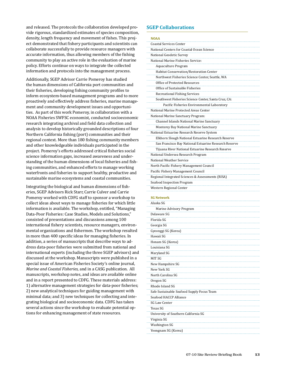and released. The protocols the collaboration developed provide rigorous, standardized estimates of species composition, density, length frequency and movement of fishes. This project demonstrated that fishery participants and scientists can collaborate successfully to provide resource managers with accurate information, thus allowing members of the fishing community to play an active role in the evaluation of marine policy. Efforts continue on ways to integrate the collected information and protocols into the management process.

Additionally, SGEP Advisor Carrie Pomeroy has studied the human dimensions of California port communities and their fisheries, developing fishing community profiles to inform ecosystem-based management programs and to more proactively and effectively address fisheries, marine management and community development issues and opportunities. As part of this work Pomeroy, in collaboration with a NOAA Fisheries SWFSC economist, conducted socioeconomic research integrating archival and field data collection and analysis to develop historically grounded descriptions of four Northern California fishing (port) communities and their regional context. More than 180 fishing community members and other knowledgeable individuals participated in the project. Pomeroy's efforts addressed critical fisheries social science information gaps, increased awareness and understanding of the human dimensions of local fisheries and fishing communities, and enhanced efforts to manage working waterfronts and fisheries to support healthy, productive and sustainable marine ecosystems and coastal communities.

Integrating the biological and human dimensions of fisheries, SGEP Advisors Rick Starr, Carrie Culver and Carrie Pomeroy worked with CDFG staff to sponsor a workshop to collect ideas about ways to manage fisheries for which little information is available. The workshop, entitled, "Managing Data-Poor Fisheries: Case Studies, Models and Solutions," consisted of presentations and discussions among 100 international fishery scientists, resource managers, environmental organizations and fishermen. The workshop resulted in more than 400 specific ideas for managing fisheries. In addition, a series of manuscripts that describe ways to address data-poor fisheries were submitted from national and international experts (including the three SGEP advisors) and discussed at the workshop. Manuscripts were published in a special issue of American Fisheries Society's online journal, *Marine and Coastal Fisheries,* and in a CASG publication. All manuscripts, workshop notes, and ideas are available online and in a report presented to CDFG. These materials address: 1) alternative management strategies for data-poor fisheries; 2) new analytical techniques for guiding management with minimal data; and 3) new techniques for collecting and integrating biological and socioeconomic data. CDFG has taken several actions since the workshop to evaluate potential options for enhancing management of state resources.

#### **SGEP Collaborations**

| <b>NOAA</b>                                           |
|-------------------------------------------------------|
| <b>Coastal Services Center</b>                        |
| National Centers for Coastal Ocean Science            |
| National Geodetic Survey                              |
| National Marine Fisheries Service:                    |
| Aquaculture Program                                   |
| Habitat Conservation/Restoration Center               |
| Northwest Fisheries Science Center, Seattle, WA       |
| <b>Office of Protected Resources</b>                  |
| Office of Sustainable Fisheries                       |
| <b>Recreational Fishing Services</b>                  |
| Southwest Fisheries Science Center, Santa Cruz, CA:   |
| Pacific Fisheries Environmental Laboratory            |
| National Marine Protected Areas Center                |
| National Marine Sanctuary Program:                    |
| Channel Islands National Marine Sanctuary             |
| Monterey Bay National Marine Sanctuary                |
| National Estuarine Research Reserve System            |
| Elkhorn Slough National Estuarine Research Reserve    |
| San Francisco Bay National Estuarine Research Reserve |
| Tijuana River National Estuarine Research Reserve     |
| National Undersea Research Program                    |
| National Weather Service                              |
| North Pacific Fishery Management Council              |
| Pacific Fishery Management Council                    |
| Regional Integrated Sciences & Assessments (RISA)     |
| Seafood Inspection Program                            |
| Western Regional Center                               |
|                                                       |
| <b>SG Network</b>                                     |
| Alaska SG                                             |
| Marine Advisory Program                               |
| Delaware SG                                           |
| Florida SG                                            |
| Georgia SG                                            |
| Gyeonggi SG (Korea)                                   |
| Hawaii SG                                             |
| Honam SG (Korea)                                      |
| Louisiana SG                                          |

| Maryland SG                                |
|--------------------------------------------|
| MIT SG                                     |
| New Hampshire SG                           |
| New York SG                                |
| North Carolina SG                          |
| Oregon SG                                  |
| Rhode Island SG                            |
| Safe Sustainable Seafood Supply Focus Team |
| Seafood HACCP Alliance                     |
| SG Law Center                              |
| Texas SG                                   |
| University of Southern California SG       |
| Virginia SG                                |
| <b>Washington SG</b>                       |
| Yeongnam SG (Korea)                        |
|                                            |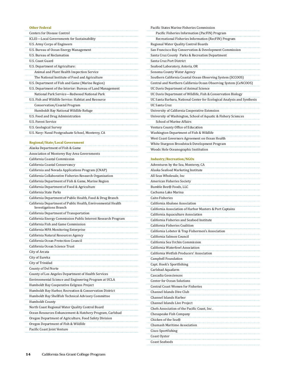| <b>Other Federal</b>                                                                         |  |
|----------------------------------------------------------------------------------------------|--|
| <b>Centers for Disease Control</b>                                                           |  |
| ICLEI-Local Governments for Sustainability                                                   |  |
| U.S. Army Corps of Engineers                                                                 |  |
| U.S. Bureau of Ocean Energy Management                                                       |  |
| U.S. Bureau of Reclamation                                                                   |  |
| U.S. Coast Guard                                                                             |  |
| U.S. Department of Agriculture:                                                              |  |
| Animal and Plant Health Inspection Service                                                   |  |
| The National Institute of Food and Agriculture                                               |  |
| U.S. Department of Fish and Game (Marine Region)                                             |  |
| U.S. Department of the Interior: Bureau of Land Management                                   |  |
| Mational Park Service—Redwood National Park                                                  |  |
| U.S. Fish and Wildlife Service: Habitat and Resource                                         |  |
| Conservation/Coastal Program                                                                 |  |
| Humboldt Bay National Wildlife Refuge                                                        |  |
| U.S. Food and Drug Administration                                                            |  |
| <b>U.S. Forest Service</b>                                                                   |  |
| <b>U.S. Geological Survey</b>                                                                |  |
| U.S. Navy: Naval Postgraduate School, Monterey, CA                                           |  |
|                                                                                              |  |
| <b>Regional/State/Local Government</b>                                                       |  |
| Alaska Department of Fish & Game                                                             |  |
| Association of Monterey Bay Area Governments                                                 |  |
| California Coastal Commission                                                                |  |
| California Coastal Conservancy                                                               |  |
| California and Nevada Applications Program (CNAP)                                            |  |
| California Collaborative Fisheries Research Organization                                     |  |
| California Department of Fish & Game, Marine Region                                          |  |
| California Department of Food & Agriculture                                                  |  |
| California State Parks                                                                       |  |
| California Department of Public Health, Food & Drug Branch                                   |  |
| California Department of Public Health, Environmental Health<br><b>Investigations Branch</b> |  |
| California Department of Transportation                                                      |  |
| California Energy Commission Public Interest Research Program                                |  |
| California Fish and Game Commission                                                          |  |
| California MPA Monitoring Enterprise                                                         |  |
| California Natural Resources Agency                                                          |  |
| California Ocean Protection Council                                                          |  |
| California Ocean Science Trust                                                               |  |
| City of Arcata                                                                               |  |
| City of Eureka                                                                               |  |
| City of Trinidad                                                                             |  |
| County of Del Norte                                                                          |  |
| County of Los Angeles Department of Health Services                                          |  |
| Environmental Science and Engineering Program at UCLA                                        |  |
| Humboldt Bay Cooperative Eelgrass Project                                                    |  |
| Humboldt Bay Harbor, Recreation & Conservation District                                      |  |
| Humboldt Bay Shellfish Technical Advisory Committee                                          |  |
| Humboldt County                                                                              |  |
| North Coast Regional Water Quality Control Board                                             |  |
| Ocean Resources Enhancement & Hatchery Program, Carlsbad                                     |  |
| Oregon Department of Agriculture, Food Safety Division                                       |  |
| Oregon Department of Fish & Wildlife                                                         |  |
| Pacific Coast Joint Venture                                                                  |  |
|                                                                                              |  |

| Pacific States Marine Fisheries Commission                              |
|-------------------------------------------------------------------------|
| Pacific Fisheries Information (PacFIN) Program                          |
| Recreational Fisheries Information (RecFIN) Program                     |
| Regional Water Quality Control Boards                                   |
| San Francisco Bay Conservation & Development Commission                 |
| Santa Cruz County Parks & Recreation Department                         |
| Santa Cruz Port District                                                |
| Seafood Laboratory, Astoria, OR                                         |
| Sonoma County Water Agency                                              |
| Southern California Coastal Ocean Observing System (SCCOOS)             |
|                                                                         |
| Central and Northern California Ocean Observing System (CeNCOOS)        |
| UC Davis Department of Animal Science                                   |
| UC Davis Department of Wildlife, Fish & Conservation Biology            |
| UC Santa Barbara, National Center for Ecological Analysis and Synthesis |
| <b>UC Santa Cruz</b>                                                    |
| University of California Cooperative Extension                          |
| University of Washington, School of Aquatic & Fishery Sciences          |
| <b>School of Marine Affairs</b>                                         |
| Ventura County Office of Education                                      |
| Washington Department of Fish & Wildlife                                |
| West Coast Governors Agreement on Ocean Health                          |
| White Sturgeon Broodstock Development Program                           |
| Woods Hole Oceanographic Institution                                    |
|                                                                         |
| <b>Industry/Recreation/NGOs</b>                                         |
| Adventures by the Sea, Monterey, CA                                     |
| Alaska Seafood Marketing Institute                                      |
| All Seas Wholesale, Inc                                                 |
| American Fisheries Society                                              |
| Bumble Bee® Foods, LLC                                                  |
| Cachuma Lake Marina                                                     |
| Caito Fisheries                                                         |
| California Abalone Association                                          |
| California Association of Harbor Masters & Port Captains                |
| California Aquaculture Association                                      |
| California Fisheries and Seafood Institute                              |
| California Fisheries Coalition                                          |
| California Lobster & Trap Fishermen's Association                       |
| California Salmon Council                                               |
| California Sea Urchin Commission                                        |
| California Waterfowl Association                                        |
| California Wetfish Producers' Association                               |
| Campbell Foundation                                                     |
| Capt. Hook's Sportfishing                                               |
| Carlsbad Aquafarm                                                       |
| Cascadia Geosciences                                                    |
| Center for Ocean Solutions                                              |
| Central Coast Women for Fisheries                                       |
| Channel Islands Dive Club                                               |
| Channel Islands Harbor                                                  |
| Channel Islands Live Project                                            |
| Chefs Association of the Pacific Coast, Inc.                            |
| Chesapeake Fish Company                                                 |
| Chicken of the Sea®                                                     |
| Chumash Maritime Association                                            |
| Cisco Sportfishing                                                      |
| Coast Oyster                                                            |
| Coast Seafoods                                                          |
|                                                                         |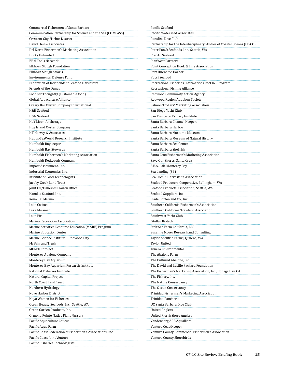| Commercial Fishermen of Santa Barbara                          |
|----------------------------------------------------------------|
| Communication Partnership for Science and the Sea (COMPASS)    |
| <b>Crescent City Harbor District</b>                           |
| David Heil & Associates                                        |
| Del Norte Fishermen's Marketing Association                    |
| Ducks Unlimited                                                |
| <b>EBM Tools Network</b>                                       |
| <b>Elkhorn Slough Foundation</b>                               |
| Elkhorn Slough Safaris                                         |
| <b>Environmental Defense Fund</b>                              |
| Federation of Independent Seafood Harvesters                   |
| Friends of the Dunes                                           |
| Food for Thought® (sustainable food)                           |
| Global Aquaculture Alliance                                    |
| Grassy Bar Oyster Company International                        |
| <b>H&amp;H</b> Seafood                                         |
| <b>H&amp;N Seafood</b>                                         |
| Half Moon Anchorage                                            |
| Hog Island Oyster Company                                      |
| HT Harvey & Associates                                         |
| Hubbs-SeaWorld Research Institute                              |
| Humboldt Baykeeper                                             |
| Humboldt Bay Stewards                                          |
| Humboldt Fishermen's Marketing Association                     |
| Humboldt Redwoods Company                                      |
| Impact Assessment, Inc.                                        |
| Industrial Economics, Inc.                                     |
| Institute of Food Technologists                                |
| Jacoby Creek Land Trust                                        |
| Joint Oil/Fisheries Liaison Office                             |
| Kanaloa Seafood, Inc.                                          |
| Kona Kai Marina                                                |
| Lake Casitas                                                   |
| Lake Miramar                                                   |
| Lake Piru                                                      |
| Marina Recreation Association                                  |
| Marine Activities Resource Education (MARE) Program            |
| <b>Marine Education Center</b>                                 |
| Marine Science Institute-Redwood City                          |
| McBain and Trush                                               |
| MERITO project                                                 |
| Monterey Abalone Company                                       |
| Monterey Bay Aquarium                                          |
| Monterey Bay Aquarium Research Institute                       |
| National Fisheries Institute                                   |
| Natural Capital Project                                        |
| North Coast Land Trust                                         |
| Northern Hydrology                                             |
| Noyo Harbor District                                           |
| Noyo Women for Fisheries                                       |
| Ocean Beauty Seafoods, Inc., Seattle, WA                       |
| Ocean Garden Products, Inc.                                    |
|                                                                |
| Ormond Pointe Native Plant Nursery                             |
| Pacific Aquaculture Caucus                                     |
| Pacific Aqua Farm                                              |
| Pacific Coast Federation of Fishermen's Associations, Inc.     |
| Pacific Coast Joint Venture<br>Pacific Fisheries Technologists |

| Pacific Seafood                                                         |
|-------------------------------------------------------------------------|
| Pacific Watershed Associates                                            |
| Paradise Dive Club                                                      |
| Partnership for the Interdisciplinary Studies of Coastal Oceans (PISCO) |
| Peter Pan® Seafoods, Inc., Seattle, WA                                  |
| Pier 45 Seafood                                                         |
| <b>PlanWest Partners</b>                                                |
| Point Conception Hook & Line Association                                |
| Port Hueneme Harbor                                                     |
| Pucci Seafood                                                           |
| Recreational Fisheries Information (RecFIN) Program                     |
| Recreational Fishing Alliance                                           |
| Redwood Community Action Agency                                         |
| Redwood Region Audubon Society                                          |
| Salmon Trollers' Marketing Association                                  |
| San Diego Yacht Club                                                    |
| San Francisco Estuary Institute                                         |
| Santa Barbara Channel Keepers                                           |
| Santa Barbara Harbor                                                    |
| Santa Barbara Maritime Museum                                           |
| Santa Barbara Museum of Natural History                                 |
| Santa Barbara Sea Center                                                |
| Santa Barbara Shellfish                                                 |
| Santa Cruz Fishermen's Marketing Association                            |
| Save Our Shores, Santa Cruz                                             |
| S.E.A. Lab, Monterey Bay                                                |
| Sea Landing (SB)                                                        |
| Sea Urchin Harvester's Association                                      |
| Seafood Producers Cooperative, Bellingham, WA                           |
| Seafood Products Association, Seattle, WA                               |
| Seafood Suppliers, Inc.                                                 |
| Slade Gorton and Co., Inc                                               |
| Southern California Fishermen's Association                             |
| Southern California Trawlers' Association                               |
| Southwest Yacht Club                                                    |
| Stellar Biotech                                                         |
| Stolt Sea Farm California, LLC                                          |
| Susanne Moser Research and Consulting                                   |
| Taylor Shellfish Farms, Quilene, WA                                     |
| Taylor United                                                           |
| Tenera Environmental                                                    |
| The Abalone Farm                                                        |
| The Cultured Abalone, Inc.                                              |
| The David and Lucille Packard Foundation                                |
| The Fishermen's Marketing Association, Inc., Bodega Bay, CA             |
| The Fishery, Inc.                                                       |
| The Nature Conservancy                                                  |
| The Ocean Conservancy                                                   |
| Trinidad Fishermen's Marketing Association                              |
| Trinidad Rancheria                                                      |
| UC Santa Barbara Dive Club                                              |
| United Anglers                                                          |
| United Pier & Shore Anglers                                             |
| Vandenberg AFB Aqualliers                                               |
| Ventura CoastKeeper                                                     |
| Ventura County Commercial Fishermen's Association                       |
| Ventura County Shorebirds                                               |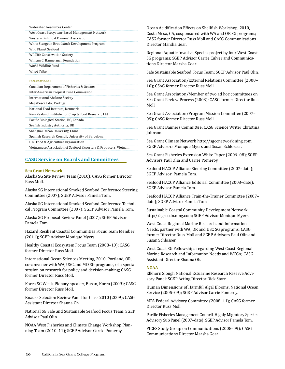| Watershed Resources Center                    |  |
|-----------------------------------------------|--|
| West Coast Ecosystem-Based Management Network |  |
| Western Fish Boat Owners' Association         |  |
| White Sturgeon Broodstock Development Program |  |
| Wild Planet Seafood                           |  |
| <b>Wildlife Conservation Society</b>          |  |
| William C. Bannerman Foundation               |  |
| World Wildlife Fund                           |  |
| Wiyot Tribe                                   |  |
|                                               |  |

#### **International**

| Canadian Department of Fisheries & Oceans                        |
|------------------------------------------------------------------|
| Inter-American Tropical Tuna Commission                          |
| International Abalone Society                                    |
| MegaPesca Lda., Portugal                                         |
| National Food Institute, Denmark                                 |
| New Zealand Institute for Crop & Food Research, Ltd.             |
| Pacific Biological Station, BC, Canada                           |
| Seafish Industry Authority, UK                                   |
| Shanghai Ocean University, China                                 |
| Spanish Research Council, University of Barcelona                |
| U.N. Food & Agriculture Organization                             |
| Vietnamese Association of Seafood Exporters & Producers, Vietnam |

#### **CASG Service on Boards and Committees**

#### **Sea Grant Network**

Alaska SG Site Review Team (2010); CASG former Director Russ Moll.

Alaska SG International Smoked Seafood Conference Steering Committee (2007); SGEP Advisor Pamela Tom.

Alaska SG International Smoked Seafood Conference Technical Program Committee (2007); SGEP Advisor Pamela Tom.

Alaska SG Proposal Review Panel (2007); SGEP Advisor Pamela Tom.

Hazard Resilient Coastal Communities Focus Team Member (2011); SGEP Advisor Monique Myers.

Healthy Coastal Ecosystem Focus Team (2008–10); CASG former Director Russ Moll.

International Ocean Sciences Meeting, 2010, Portland, OR, co-convener with WA, USC and MD SG programs, of a special session on research for policy and decision-making; CASG former Director Russ Moll.

Korea SG Week, Plenary speaker, Busan, Korea (2009); CASG former Director Russ Moll.

Knauss Selection Review Panel for Class 2010 (2009); CASG Assistant Director Shauna Oh.

National SG Safe and Sustainable Seafood Focus Team; SGEP Advisor Paul Olin.

NOAA West Fisheries and Climate Change Workshop Planning Team (2010–11); SGEP Advisor Carrie Pomeroy.

Ocean Acidification Effects on Shellfish Workshop, 2010, Costa Mesa, CA, cosponsored with WA and OR SG programs; CASG former Director Russ Moll and CASG Communications Director Marsha Gear.

Regional Aquatic Invasive Species project by four West Coast SG programs; SGEP Advisor Carrie Culver and Communications Director Marsha Gear.

Safe Sustainable Seafood Focus Team; SGEP Advisor Paul Olin.

Sea Grant Association/External Relations Committee (2000– 10); CSAG former Director Russ Moll.

Sea Grant Association/Member of two ad hoc committees on Sea Grant Review Process (2008); CASG former Director Russ Moll.

Sea Grant Association/Program Mission Committee (2007– 09); CASG former Director Russ Moll.

Sea Grant Banners Committee; CASG Science Writer Christina Johnson.

Sea Grant Climate Network http://sgccnetwork.ning.com; SGEP Advisors Monique Myers and Susan Schlosser.

Sea Grant Fisheries Extension White Paper (2006–08); SGEP Advisors Paul Olin and Carrie Pomeroy.

Seafood HACCP Alliance Steering Committee (2007–date); SGEP Advisor Pamela Tom.

Seafood HACCP Alliance Editorial Committee (2008–date); SGEP Advisor Pamela Tom.

Seafood HACCP Alliance Train-the-Trainer Committee (2007– date); SGEP Advisor Pamela Tom.

Sustainable Coastal Community Development Network http://sgsccdn.ning.com; SGEP Advisor Monique Myers.

West Coast Regional Marine Research and Information Needs, partner with WA, OR and USC SG programs; CASG former Director Russ Moll and SGEP Advisors Paul Olin and Susan Schlosser.

West Coast SG Fellowships regarding West Coast Regional Marine Research and Information Needs and WCGA; CASG Assistant Director Shauna Oh.

#### **NOAA**

Elkhorn Slough National Estuarine Research Reserve Advisory Panel; SGEP Acting Director Rick Starr.

Human Dimensions of Harmful Algal Blooms, National Ocean Service (2005–09); SGEP Advisor Carrie Pomeroy.

MPA Federal Advisory Committee (2008–11); CASG former Director Russ Moll.

Pacific Fisheries Management Council, Highly Migratory Species Advisory Sub Panel (2007–date); SGEP Advisor Pamela Tom.

PICES Study Group on Communications (2008–09); CASG Communications Director Marsha Gear.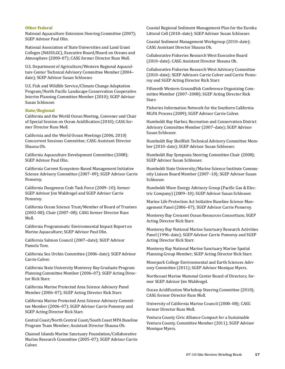#### **Other Federal**

National Aquaculture Extension Steering Committee (2007); SGEP Advisor Paul Olin.

National Association of State Universities and Land Grant Colleges (NASULGC), Executive Board/Board on Oceans and Atmosphere (2000–07); CASG former Director Russ Moll.

U.S. Department of Agriculture/Western Regional Aquaculture Center Technical Advisory Committee Member (2004– date); SGEP Advisor Susan Schlosser.

U.S. Fish and Wildlife Service/Climate Change Adaptation Program/North Pacific Landscape Conservation Cooperative Interim Planning Committee Member (2010); SGEP Advisor Susan Schlosser.

#### **State/Regional**

California and the World Ocean Meeting, Convener and Chair of Special Session on Ocean Acidification (2010); CASG former Director Russ Moll.

California and the World Ocean Meetings (2006, 2010) Concurrent Sessions Committee; CASG Assistant Director Shauna Oh.

California Aquaculture Development Committee (2008); SGEP Advisor Paul Olin.

California Current Ecosystem-Based Management Initiative Science Advisory Committee (2007–09); SGEP Advisor Carrie Pomeroy.

California Dungeness Crab Task Force (2009–10); former SGEP Advisor Jim Waldvogel and SGEP Advisor Carrie Pomeroy.

California Ocean Science Trust/Member of Board of Trustees (2002-08); Chair (2007–08); CASG former Director Russ Moll.

California Programmatic Environmental Impact Report on Marine Aquaculture; SGEP Advisor Paul Olin.

California Salmon Council (2007–date); SGEP Advisor Pamela Tom.

California Sea Urchin Committee (2006–date); SGEP Advisor Carrie Culver.

California State University Monterey Bay Graduate Program Planning Committee Member (2006–07); SGEP Acting Director Rick Starr.

California Marine Protected Area Science Advisory Panel Member (2006–07); SGEP Acting Director Rick Starr.

California Marine Protected Area Science Advisory Committee Member (2006–07); SGEP Advisor Carrie Pomeroy and SGEP Acting Director Rick Starr.

Central Coast/North Central Coast/South Coast MPA Baseline Program Team Member; Assistant Director Shauna Oh.

Channel Islands Marine Sanctuary Foundation/Collaborative Marine Research Committee (2005–07); SGEP Advisor Carrie Culver.

Coastal Regional Sediment Management Plan for the Eureka Littoral Cell (2010–date); SGEP Advisor Susan Schlosser.

Coastal Sediment Management Workgroup (2010–date); CASG Assistant Director Shauna Oh.

Collaborative Fisheries Research West Executive Board (2010–date); CASG Assistant Director Shauna Oh.

Collaborative Fisheries Research West Advisory Committee (2010–date); SGEP Advisors Carrie Culver and Carrie Pomeroy and SGEP Acting Director Rick Starr.

Fifteenth Western Groundfish Conference Organizing Committee Member (2007–2008); SGEP Acting Director Rick Starr.

Fisheries Information Network for the Southern California MLPA Process (2009); SGEP Advisor Carrie Culver.

Humboldt Bay Harbor, Recreation and Conservation District Advisory Committee Member (2007–date); SGEP Advisor Susan Schlosser.

Humboldt Bay Shellfish Technical Advisory Committee Member (2010–date); SGEP Advisor Susan Schlosser.

Humboldt Bay Symposia Steering Committee Chair (2008); SGEP Advisor Susan Schlosser.

Humboldt State University/Marine Science Institute Community Liaison Board Member (2007–10); SGEP Advisor Susan Schlosser.

Humboldt Wave Energy Advisory Group (Pacific Gas & Electric Company) (2009–10); SGEP Advisor Susan Schlosser.

Marine Life Protection Act Initiative Baseline Science Management Panel (2006–07); SGEP Advisor Carrie Pomeroy.

Monterey Bay Crescent Ocean Resources Consortium; SGEP Acting Director Rick Starr.

Monterey Bay National Marine Sanctuary Research Activities Panel (1996–date); SGEP Advisor Carrie Pomeroy and SGEP Acting Director Rick Starr.

Monterey Bay National Marine Sanctuary Marine Spatial Planning Group Member; SGEP Acting Director Rick Starr.

Moorpark College Environmental and Earth Sciences Advisory Committee (2011); SGEP Advisor Monique Myers.

Northcoast Marine Mammal Center Board of Directors; former SGEP Advisor Jim Waldvogel.

Ocean Acidification Workshop Steering Committee (2010); CASG former Director Russ Moll.

University of California Marine Council (2000–08); CASG former Director Russ Moll.

Ventura County Civic Alliance Compact for a Sustainable Ventura County, Committee Member (2011); SGEP Advisor Monique Myers.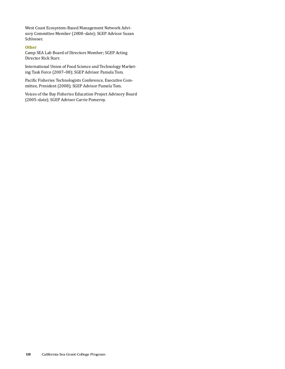West Coast Ecosystem-Based Management Network Advisory Committee Member (2008–date); SGEP Advisor Susan Schlosser.

#### **Other**

Camp SEA Lab Board of Directors Member; SGEP Acting Director Rick Starr.

International Union of Food Science and Technology Marketing Task Force (2007–08); SGEP Advisor Pamela Tom.

Pacific Fisheries Technologists Conference, Executive Committee, President (2008); SGEP Advisor Pamela Tom.

Voices of the Bay Fisheries Education Project Advisory Board (2005–date); SGEP Advisor Carrie Pomeroy.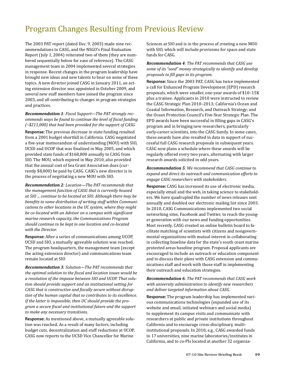## Program Changes Resulting from Previous Review

The 2003 PAT report (dated Dec. 9, 2003) made nine recommendations to CASG, and the NSGO's Final Evaluation Report (July 1, 2004) reiterated two of them (they are numbered sequentially below for ease of reference). The CASG management team in 2004 implemented several strategies in response. Recent changes in the program leadership have brought new ideas and new talents to bear on some of these topics. A new director joined CASG in January 2011, an acting extension director was appointed in October 2009, and several new staff members have joined the program since 2003, and all contributing to changes in program strategies and practices.

#### *Recommendation 1: Fiscal Support—The PAT strongly recommends ways be found to continue the level of fiscal funding (~\$211,000) that had been provided for the support of CASG.*

**Response:** The previous decrease in state funding resulted from a 2001 budget shortfall in California. CASG negotiated a five-year memorandum of understanding (MOU) with SIO, UCSD and UCOP that was finalized in May 2005, and which provided state funds of \$168,800 annually to CASG from SIO. The MOU, which expired in May 2010, also provided that the annual cost of Sea Grant Association dues (currently \$8,000) be paid by CASG. CASG's new director is in the process of negotiating a new MOU with SIO.

*Recommendation 2: Location—The PAT recommends that the management function of CASG that is currently housed at SIO ... continue to be located at SIO. Although there may be benefits to some distribution of writing staff within Communications to other locations in the UC system, where they might be co-located with an Advisor on a campus with significant marine research capacity, the Communications Program should continue to be kept in one location and co-located with the Director.*

**Response:** After a series of communications among UCOP, UCSD and SIO, a mutually agreeable solution was reached. The program headquarters, the management team (except the acting extension director) and communications team remain located at SIO

*Recommendation 3: Solution—The PAT recommends that the optimal solution to the fiscal and location issues would be a resolution of the impasse between SIO and UCOP. That solution should provide support and an institutional setting for CASG that is constructive and fiscally secure without disruption of the human capital that so contributes to its excellence. If the latter is impossible, then UC should provide the program a secure fiscal and institutional future and the support to make any necessary transitions.* 

**Response:** As mentioned above, a mutually agreeable solution was reached. As a result of many factors, including budget cuts, decentralization and staff reductions at UCOP, CASG now reports to the UCSD Vice Chancellor for Marine

Sciences at SIO and is in the process of creating a new MOU with SIO, which will include provisions for space and state funds for CASG.

#### *Recommendation 4: The PAT recommends that CASG use some of its "seed" money strategically to identify and develop proposals to fill gaps in its program.*

**Response:** Since the 2003 PAT, CASG has twice implemented a call for Enhanced Program Development (EPD) research proposals, which were smaller, one-year awards of \$10–15K plus a trainee. Applicants in 2010 were instructed to review the CASG Strategic Plan 2010–2013; California's Ocean and Coastal Information, Research, and Outreach Strategy; and the Ocean Protection Council's Five-Year Strategic Plan. The EPD awards have been successful in filling gaps in CASG's program and in bringing new researchers, particularly early-career scientists, into the CASG family. In some cases, these awards have also resulted in data in support of successful full CASG research proposals in subsequent years. CASG now plans a schedule where these awards will be regularly offered every two years, alternating with larger research awards solicited in odd years.

#### *Recommendation 5: We recommend that CASG continue to expand and direct its outreach and communication efforts to engage CASG researchers with stakeholders.*

**Response:** CASG has increased its use of electronic media, especially email and the web, in taking science to stakeholders. We have quadrupled the number of news releases sent annually and doubled our electronic mailing list since 2003. In 2010, CASG Communications implemented two social networking sites, Facebook and Twitter, to reach the younger generation with our news and funding opportunities. Most recently, CASG created an online bulletin board to facilitate matching of scientists with citizens and nongovernmental organizations with mutual interest in collaborating in collecting baseline data for the state's south coast marine protected areas baseline program. Proposal applicants are encouraged to include an outreach or education component and to discuss their plans with CASG extension and communications staff and work with those staff in implementing their outreach and education strategies.

#### *Recommendation 6: The PAT recommends that CASG work with university administration to identify new researchers and deliver targeted information about CASG.*

**Response:** The program leadership has implemented various communications technologies (expanded use of its website and email, initiated webinars and social media) to supplement its campus visits and communicate with researchers at public and private institutions throughout California and to encourage cross-disciplinary, multiinstitutional proposals. In 2010, e.g., CASG awarded funds to 17 universities, nine marine laboratories/institutes in California, and to co-PIs located at another 32 organiza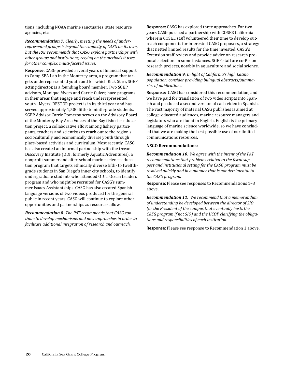tions, including NOAA marine sanctuaries, state resource agencies, etc.

*Recommendation 7: Clearly, meeting the needs of underrepresented groups is beyond the capacity of CASG on its own, but the PAT recommends that CASG explore partnerships with other groups and institutions, relying on the methods it uses for other complex, multi-faceted issues.*

**Response:** CASG provided several years of financial support to Camp SEA Lab in the Monterey area, a program that targets underrepresented youth and for which Rick Starr, SGEP acting director, is a founding board member. Two SGEP advisors, Monique Myers and Carrie Culver, have programs in their areas that engage and reach underrepresented youth. Myers' RESTOR project is in its third year and has served approximately 1,500 fifth- to ninth-grade students. SGEP Advisor Carrie Pomeroy serves on the Advisory Board of the Monterey Bay Area Voices of the Bay fisheries education project, a collaborative effort among fishery participants, teachers and scientists to reach out to the region's socioculturally and economically diverse youth through place-based activities and curriculum. Most recently, CASG has also created an informal partnership with the Ocean Discovery Institute (ODI; formerly Aquatic Adventures), a nonprofit summer and after-school marine science education program that targets ethnically diverse fifth- to twelfthgrade students in San Diego's inner city schools, to identify undergraduate students who attended ODI's Ocean Leaders program and who might be recruited for CASG's summer Isaacs Assistantships. CASG has also created Spanish language versions of two videos produced for the general public in recent years. CASG will continue to explore other opportunities and partnerships as resources allow.

*Recommendation 8: The PAT recommends that CASG continue to develop mechanisms and new approaches in order to facilitate additional integration of research and outreach.* 

**Response:** CASG has explored three approaches. For two years CASG pursued a partnership with COSEE California wherein COSEE staff volunteered their time to develop outreach components for interested CASG proposers, a strategy that netted limited results for the time invested. CASG's Extension staff review and provide advice on research proposal selection. In some instances, SGEP staff are co-PIs on research projects, notably in aquaculture and social science.

#### *Recommendation 9: In light of California's high Latino population, consider providing bilingual abstracts/summaries of publications.*

**Response:** CASG has considered this recommendation, and we have paid for translation of two video scripts into Spanish and produced a second version of each video in Spanish. The vast majority of material CASG publishes is aimed at college-educated audiences, marine resource managers and legislators who are fluent in English. English is the primary language of marine science worldwide, so we have concluded that we are making the best possible use of our limited communications resources.

#### **NSGO Recommendations:**

*Recommendation 10: We agree with the intent of the PAT recommendations that problems related to the fiscal support and institutional setting for the CASG program must be resolved quickly and in a manner that is not detrimental to the CASG program.*

**Response:** Please see responses to Recommendations 1–3 above.

*Recommendation 11: We recommend that a memorandum of understanding be developed between the director of SIO (or the President of the campus that eventually hosts the CASG program if not SIO) and the UCOP clarifying the obligations and responsibilities of each institution.*

**Response:** Please see response to Recommendation 1 above.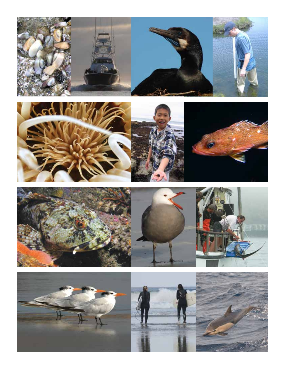